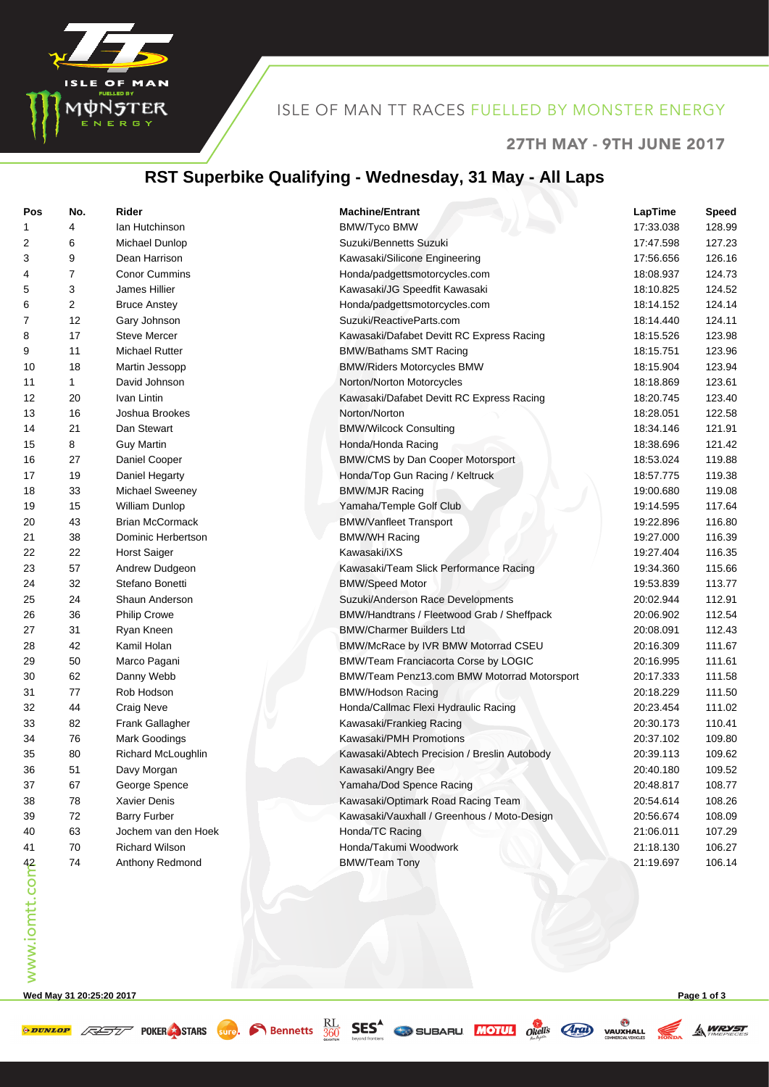

## ISLE OF MAN TT RACES FUELLED BY MONSTER ENERGY

#### 27TH MAY - 9TH JUNE 2017

#### **RST Superbike Qualifying - Wednesday, 31 May - All Laps**

| Pos            | No. | Rider                  | <b>Machine/Entrant</b>                       | LapTime   | <b>Speed</b> |
|----------------|-----|------------------------|----------------------------------------------|-----------|--------------|
| 1              | 4   | Ian Hutchinson         | <b>BMW/Tyco BMW</b>                          | 17:33.038 | 128.99       |
| 2              | 6   | Michael Dunlop         | Suzuki/Bennetts Suzuki                       | 17:47.598 | 127.23       |
| 3              | 9   | Dean Harrison          | Kawasaki/Silicone Engineering                | 17:56.656 | 126.16       |
| 4              | 7   | <b>Conor Cummins</b>   | Honda/padgettsmotorcycles.com                | 18:08.937 | 124.73       |
| 5              | 3   | James Hillier          | Kawasaki/JG Speedfit Kawasaki                | 18:10.825 | 124.52       |
| 6              | 2   | <b>Bruce Anstey</b>    | Honda/padgettsmotorcycles.com                | 18:14.152 | 124.14       |
| 7              | 12  | Gary Johnson           | Suzuki/ReactiveParts.com                     | 18:14.440 | 124.11       |
| 8              | 17  | Steve Mercer           | Kawasaki/Dafabet Devitt RC Express Racing    | 18:15.526 | 123.98       |
| 9              | 11  | <b>Michael Rutter</b>  | <b>BMW/Bathams SMT Racing</b>                | 18:15.751 | 123.96       |
| 10             | 18  | Martin Jessopp         | <b>BMW/Riders Motorcycles BMW</b>            | 18:15.904 | 123.94       |
| 11             | 1   | David Johnson          | Norton/Norton Motorcycles                    | 18:18.869 | 123.61       |
| 12             | 20  | Ivan Lintin            | Kawasaki/Dafabet Devitt RC Express Racing    | 18:20.745 | 123.40       |
| 13             | 16  | Joshua Brookes         | Norton/Norton                                | 18:28.051 | 122.58       |
| 14             | 21  | Dan Stewart            | <b>BMW/Wilcock Consulting</b>                | 18:34.146 | 121.91       |
| 15             | 8   | <b>Guy Martin</b>      | Honda/Honda Racing                           | 18:38.696 | 121.42       |
| 16             | 27  | Daniel Cooper          | BMW/CMS by Dan Cooper Motorsport             | 18:53.024 | 119.88       |
| 17             | 19  | Daniel Hegarty         | Honda/Top Gun Racing / Keltruck              | 18:57.775 | 119.38       |
| 18             | 33  | <b>Michael Sweeney</b> | <b>BMW/MJR Racing</b>                        | 19:00.680 | 119.08       |
| 19             | 15  | William Dunlop         | Yamaha/Temple Golf Club                      | 19:14.595 | 117.64       |
| 20             | 43  | <b>Brian McCormack</b> | <b>BMW/Vanfleet Transport</b>                | 19:22.896 | 116.80       |
| 21             | 38  | Dominic Herbertson     | <b>BMW/WH Racing</b>                         | 19:27.000 | 116.39       |
| 22             | 22  | <b>Horst Saiger</b>    | Kawasaki/iXS                                 | 19:27.404 | 116.35       |
| 23             | 57  | Andrew Dudgeon         | Kawasaki/Team Slick Performance Racing       | 19:34.360 | 115.66       |
| 24             | 32  | Stefano Bonetti        | <b>BMW/Speed Motor</b>                       | 19:53.839 | 113.77       |
| 25             | 24  | Shaun Anderson         | Suzuki/Anderson Race Developments            | 20:02.944 | 112.91       |
| 26             | 36  | <b>Philip Crowe</b>    | BMW/Handtrans / Fleetwood Grab / Sheffpack   | 20:06.902 | 112.54       |
| 27             | 31  | Ryan Kneen             | <b>BMW/Charmer Builders Ltd</b>              | 20:08.091 | 112.43       |
| 28             | 42  | Kamil Holan            | BMW/McRace by IVR BMW Motorrad CSEU          | 20:16.309 | 111.67       |
| 29             | 50  | Marco Pagani           | BMW/Team Franciacorta Corse by LOGIC         | 20:16.995 | 111.61       |
| 30             | 62  | Danny Webb             | BMW/Team Penz13.com BMW Motorrad Motorsport  | 20:17.333 | 111.58       |
| 31             | 77  | Rob Hodson             | <b>BMW/Hodson Racing</b>                     | 20:18.229 | 111.50       |
| 32             | 44  | Craig Neve             | Honda/Callmac Flexi Hydraulic Racing         | 20:23.454 | 111.02       |
| 33             | 82  | Frank Gallagher        | Kawasaki/Frankieg Racing                     | 20:30.173 | 110.41       |
| 34             | 76  | Mark Goodings          | Kawasaki/PMH Promotions                      | 20:37.102 | 109.80       |
| 35             | 80  | Richard McLoughlin     | Kawasaki/Abtech Precision / Breslin Autobody | 20:39.113 | 109.62       |
| 36             | 51  | Davy Morgan            | Kawasaki/Angry Bee                           | 20:40.180 | 109.52       |
| 37             | 67  | George Spence          | Yamaha/Dod Spence Racing                     | 20:48.817 | 108.77       |
| 38             | 78  | Xavier Denis           | Kawasaki/Optimark Road Racing Team           | 20:54.614 | 108.26       |
| 39             | 72  | <b>Barry Furber</b>    | Kawasaki/Vauxhall / Greenhous / Moto-Design  | 20:56.674 | 108.09       |
| 40             | 63  | Jochem van den Hoek    | Honda/TC Racing                              | 21:06.011 | 107.29       |
| 41             | 70  | <b>Richard Wilson</b>  | Honda/Takumi Woodwork                        | 21:18.130 | 106.27       |
| www.iomtt.comb | 74  | Anthony Redmond        | <b>BMW/Team Tony</b>                         | 21:19.697 | 106.14       |
|                |     |                        |                                              |           |              |

**Wed May 31 20:25:20 2017 Page 1 of 3**

**EXECUTE AND STARS** STARS SUPPORTED BEST CONTRACTED TO BE AND VALUATED

**A WRYST**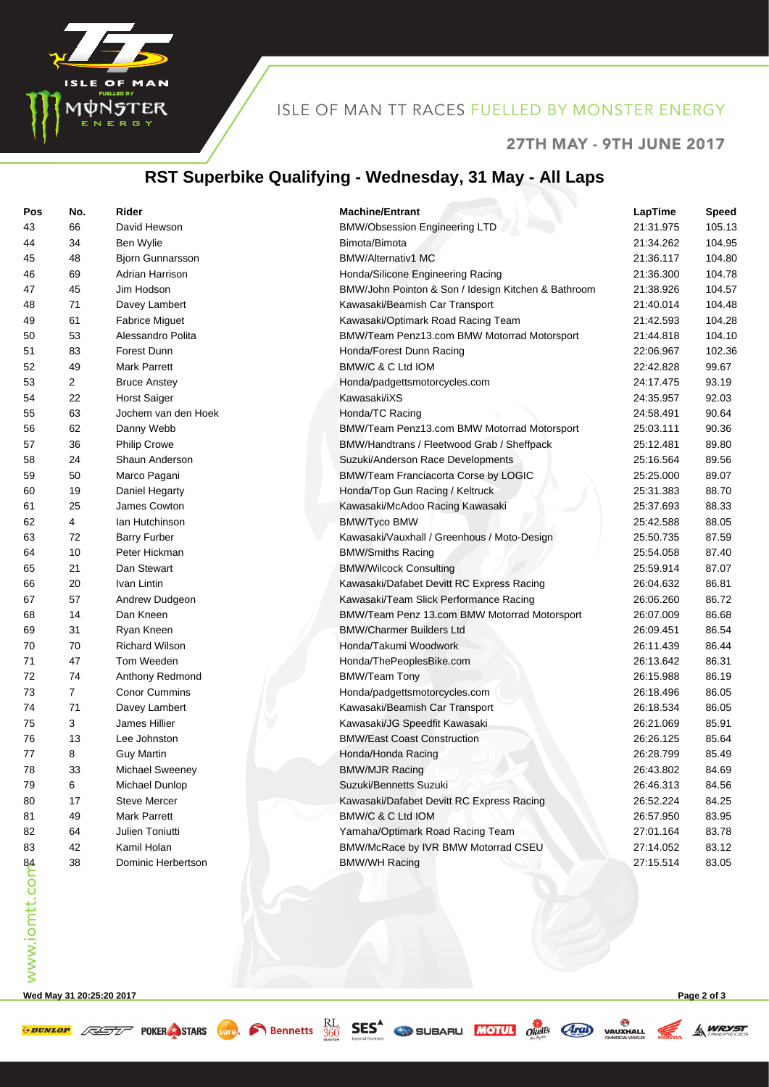

#### ISLE OF MAN TT RACES FUELLED BY MONSTER ENERGY

#### 27TH MAY - 9TH JUNE 2017

**A WRYST** 

## **RST Superbike Qualifying - Wednesday, 31 May - All Laps**

| Pos                        | No.            | Rider                   | <b>Machine/Entrant</b>                              | LapTime   | <b>Speed</b> |
|----------------------------|----------------|-------------------------|-----------------------------------------------------|-----------|--------------|
| 43                         | 66             | David Hewson            | <b>BMW/Obsession Engineering LTD</b>                | 21:31.975 | 105.13       |
| 44                         | 34             | Ben Wylie               | Bimota/Bimota                                       | 21:34.262 | 104.95       |
| 45                         | 48             | <b>Bjorn Gunnarsson</b> | <b>BMW/Alternativ1 MC</b>                           | 21:36.117 | 104.80       |
| 46                         | 69             | Adrian Harrison         | Honda/Silicone Engineering Racing                   | 21:36.300 | 104.78       |
| 47                         | 45             | Jim Hodson              | BMW/John Pointon & Son / Idesign Kitchen & Bathroom | 21:38.926 | 104.57       |
| 48                         | 71             | Davey Lambert           | Kawasaki/Beamish Car Transport                      | 21:40.014 | 104.48       |
| 49                         | 61             | <b>Fabrice Miguet</b>   | Kawasaki/Optimark Road Racing Team                  | 21:42.593 | 104.28       |
| 50                         | 53             | Alessandro Polita       | BMW/Team Penz13.com BMW Motorrad Motorsport         | 21:44.818 | 104.10       |
| 51                         | 83             | Forest Dunn             | Honda/Forest Dunn Racing                            | 22:06.967 | 102.36       |
| 52                         | 49             | <b>Mark Parrett</b>     | BMW/C & C Ltd IOM                                   | 22:42.828 | 99.67        |
| 53                         | 2              | <b>Bruce Anstey</b>     | Honda/padgettsmotorcycles.com                       | 24:17.475 | 93.19        |
| 54                         | 22             | <b>Horst Saiger</b>     | Kawasaki/iXS                                        | 24:35.957 | 92.03        |
| 55                         | 63             | Jochem van den Hoek     | Honda/TC Racing                                     | 24:58.491 | 90.64        |
| 56                         | 62             | Danny Webb              | BMW/Team Penz13.com BMW Motorrad Motorsport         | 25:03.111 | 90.36        |
| 57                         | 36             | <b>Philip Crowe</b>     | BMW/Handtrans / Fleetwood Grab / Sheffpack          | 25:12.481 | 89.80        |
| 58                         | 24             | Shaun Anderson          | Suzuki/Anderson Race Developments                   | 25:16.564 | 89.56        |
| 59                         | 50             | Marco Pagani            | BMW/Team Franciacorta Corse by LOGIC                | 25:25.000 | 89.07        |
| 60                         | 19             | Daniel Hegarty          | Honda/Top Gun Racing / Keltruck                     | 25:31.383 | 88.70        |
| 61                         | 25             | James Cowton            | Kawasaki/McAdoo Racing Kawasaki                     | 25:37.693 | 88.33        |
| 62                         | 4              | Ian Hutchinson          | <b>BMW/Tyco BMW</b>                                 | 25:42.588 | 88.05        |
| 63                         | 72             | <b>Barry Furber</b>     | Kawasaki/Vauxhall / Greenhous / Moto-Design         | 25:50.735 | 87.59        |
| 64                         | 10             | Peter Hickman           | <b>BMW/Smiths Racing</b>                            | 25:54.058 | 87.40        |
| 65                         | 21             | Dan Stewart             | <b>BMW/Wilcock Consulting</b>                       | 25:59.914 | 87.07        |
| 66                         | 20             | Ivan Lintin             | Kawasaki/Dafabet Devitt RC Express Racing           | 26:04.632 | 86.81        |
| 67                         | 57             | Andrew Dudgeon          | Kawasaki/Team Slick Performance Racing              | 26:06.260 | 86.72        |
| 68                         | 14             | Dan Kneen               | BMW/Team Penz 13.com BMW Motorrad Motorsport        | 26:07.009 | 86.68        |
| 69                         | 31             | Ryan Kneen              | <b>BMW/Charmer Builders Ltd</b>                     | 26:09.451 | 86.54        |
| 70                         | 70             | <b>Richard Wilson</b>   | Honda/Takumi Woodwork                               | 26:11.439 | 86.44        |
| 71                         | 47             | Tom Weeden              | Honda/ThePeoplesBike.com                            | 26:13.642 | 86.31        |
| 72                         | 74             | Anthony Redmond         | <b>BMW/Team Tony</b>                                | 26:15.988 | 86.19        |
| 73                         | $\overline{7}$ | <b>Conor Cummins</b>    | Honda/padgettsmotorcycles.com                       | 26:18.496 | 86.05        |
| 74                         | 71             | Davey Lambert           | Kawasaki/Beamish Car Transport                      | 26:18.534 | 86.05        |
| 75                         | 3              | James Hillier           | Kawasaki/JG Speedfit Kawasaki                       | 26:21.069 | 85.91        |
| 76                         | 13             | Lee Johnston            | <b>BMW/East Coast Construction</b>                  | 26:26.125 | 85.64        |
| 77                         | 8              | <b>Guy Martin</b>       | Honda/Honda Racing                                  | 26:28.799 | 85.49        |
| 78                         | 33             | Michael Sweeney         | <b>BMW/MJR Racing</b>                               | 26:43.802 | 84.69        |
| 79                         | 6              | Michael Dunlop          | Suzuki/Bennetts Suzuki                              | 26:46.313 | 84.56        |
| 80                         | 17             | <b>Steve Mercer</b>     | Kawasaki/Dafabet Devitt RC Express Racing           | 26:52.224 | 84.25        |
| 81                         | 49             | <b>Mark Parrett</b>     | BMW/C & C Ltd IOM                                   | 26:57.950 | 83.95        |
| 82                         | 64             | Julien Toniutti         | Yamaha/Optimark Road Racing Team                    | 27:01.164 | 83.78        |
| 83                         | 42             | Kamil Holan             | BMW/McRace by IVR BMW Motorrad CSEU                 | 27:14.052 | 83.12        |
| www.iomtt.com <sup>e</sup> | 38             | Dominic Herbertson      | <b>BMW/WH Racing</b>                                | 27:15.514 | 83.05        |
|                            |                |                         |                                                     |           |              |

**Wed May 31 20:25:20 2017 Page 2 of 3**

**EXECUTE AND STARS** STARS SUPPORTED BEST CONTRACTED TO BE AND VALUATED